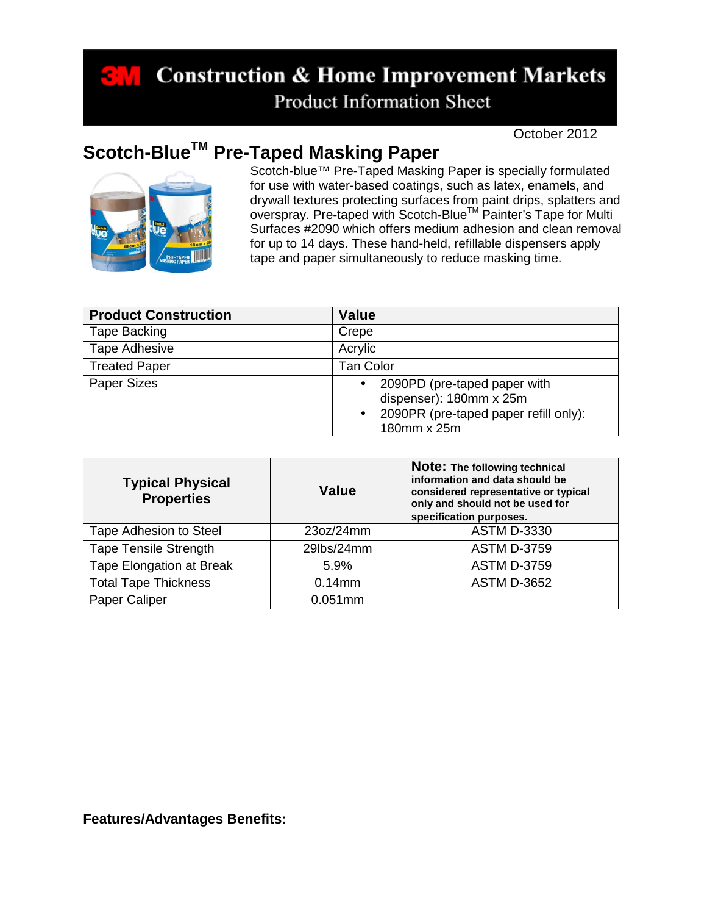## **Construction & Home Improvement Markets Product Information Sheet**

October 2012

## **Scotch-BlueTM Pre-Taped Masking Paper**



Scotch-blue™ Pre-Taped Masking Paper is specially formulated for use with water-based coatings, such as latex, enamels, and drywall textures protecting surfaces from paint drips, splatters and overspray. Pre-taped with Scotch-Blue<sup>™</sup> Painter's Tape for Multi Surfaces #2090 which offers medium adhesion and clean removal for up to 14 days. These hand-held, refillable dispensers apply tape and paper simultaneously to reduce masking time.

| <b>Product Construction</b> | <b>Value</b>                                                                                                                              |
|-----------------------------|-------------------------------------------------------------------------------------------------------------------------------------------|
| Tape Backing                | Crepe                                                                                                                                     |
| Tape Adhesive               | Acrylic                                                                                                                                   |
| <b>Treated Paper</b>        | Tan Color                                                                                                                                 |
| <b>Paper Sizes</b>          | 2090PD (pre-taped paper with<br>$\bullet$<br>dispenser): 180mm x 25m<br>2090PR (pre-taped paper refill only):<br>$\bullet$<br>180mm x 25m |

| <b>Typical Physical</b><br><b>Properties</b> | Value      | Note: The following technical<br>information and data should be<br>considered representative or typical<br>only and should not be used for<br>specification purposes. |
|----------------------------------------------|------------|-----------------------------------------------------------------------------------------------------------------------------------------------------------------------|
| Tape Adhesion to Steel                       | 23oz/24mm  | <b>ASTM D-3330</b>                                                                                                                                                    |
| <b>Tape Tensile Strength</b>                 | 29lbs/24mm | <b>ASTM D-3759</b>                                                                                                                                                    |
| <b>Tape Elongation at Break</b>              | 5.9%       | <b>ASTM D-3759</b>                                                                                                                                                    |
| <b>Total Tape Thickness</b>                  | $0.14$ mm  | <b>ASTM D-3652</b>                                                                                                                                                    |
| Paper Caliper                                | $0.051$ mm |                                                                                                                                                                       |

**Features/Advantages Benefits:**